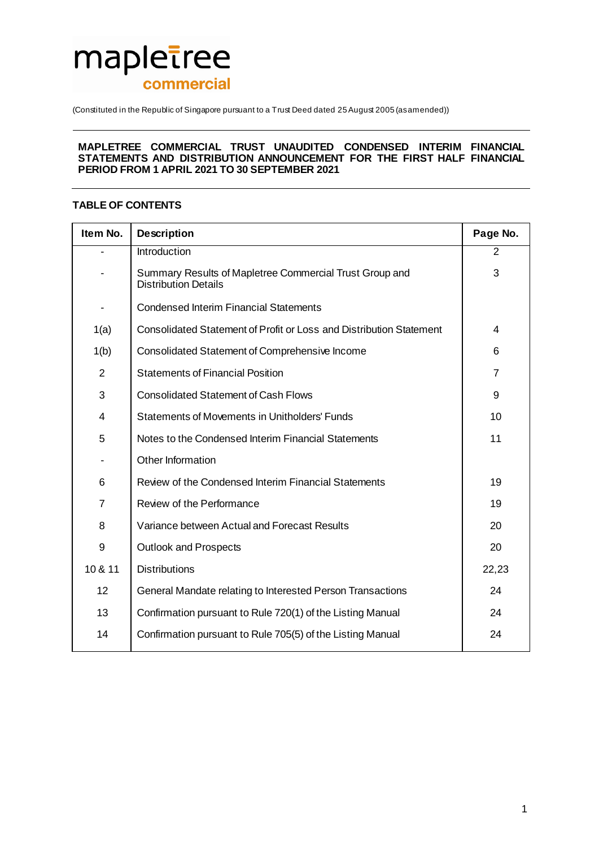# mapletree commercial

(Constituted in the Republic of Singapore pursuant to a Trust Deed dated 25 August 2005 (as amended))

#### **MAPLETREE COMMERCIAL TRUST UNAUDITED CONDENSED INTERIM FINANCIAL STATEMENTS AND DISTRIBUTION ANNOUNCEMENT FOR THE FIRST HALF FINANCIAL PERIOD FROM 1 APRIL 2021 TO 30 SEPTEMBER 2021**

# **TABLE OF CONTENTS**

| Item No.       | <b>Description</b>                                                                     | Page No.       |
|----------------|----------------------------------------------------------------------------------------|----------------|
|                | Introduction                                                                           | $\overline{2}$ |
|                | Summary Results of Mapletree Commercial Trust Group and<br><b>Distribution Details</b> | 3              |
|                | <b>Condensed Interim Financial Statements</b>                                          |                |
| 1(a)           | Consolidated Statement of Profit or Loss and Distribution Statement                    | 4              |
| 1(b)           | Consolidated Statement of Comprehensive Income                                         | 6              |
| $\overline{2}$ | <b>Statements of Financial Position</b>                                                | 7              |
| 3              | <b>Consolidated Statement of Cash Flows</b>                                            | 9              |
| 4              | <b>Statements of Movements in Unitholders' Funds</b>                                   | 10             |
| 5              | Notes to the Condensed Interim Financial Statements                                    | 11             |
|                | Other Information                                                                      |                |
| 6              | Review of the Condensed Interim Financial Statements                                   | 19             |
| 7              | Review of the Performance                                                              | 19             |
| 8              | Variance between Actual and Forecast Results                                           | 20             |
| 9              | <b>Outlook and Prospects</b>                                                           | 20             |
| 10 & 11        | <b>Distributions</b>                                                                   | 22,23          |
| 12             | General Mandate relating to Interested Person Transactions                             | 24             |
| 13             | Confirmation pursuant to Rule 720(1) of the Listing Manual                             | 24             |
| 14             | Confirmation pursuant to Rule 705(5) of the Listing Manual                             | 24             |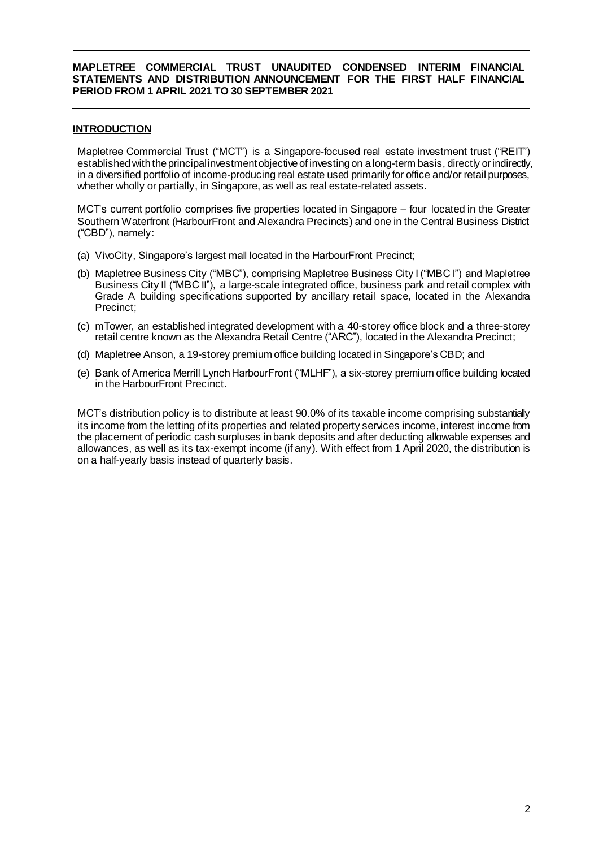# **INTRODUCTION**

Mapletree Commercial Trust ("MCT") is a Singapore-focused real estate investment trust ("REIT") established with the principal investment objective of investing on a long-term basis, directly or indirectly, in a diversified portfolio of income-producing real estate used primarily for office and/or retail purposes, whether wholly or partially, in Singapore, as well as real estate-related assets.

MCT's current portfolio comprises five properties located in Singapore – four located in the Greater Southern Waterfront (HarbourFront and Alexandra Precincts) and one in the Central Business District ("CBD"), namely:

- (a) VivoCity, Singapore's largest mall located in the HarbourFront Precinct;
- (b) Mapletree Business City ("MBC"), comprising Mapletree Business City I ("MBC I") and Mapletree Business City II ("MBC II"), a large-scale integrated office, business park and retail complex with Grade A building specifications supported by ancillary retail space, located in the Alexandra Precinct;
- (c) mTower, an established integrated development with a 40-storey office block and a three-storey retail centre known as the Alexandra Retail Centre ("ARC"), located in the Alexandra Precinct;
- (d) Mapletree Anson, a 19-storey premium office building located in Singapore's CBD; and
- (e) Bank of America Merrill Lynch HarbourFront ("MLHF"), a six-storey premium office building located in the HarbourFront Precinct.

MCT's distribution policy is to distribute at least 90.0% of its taxable income comprising substantially its income from the letting of its properties and related property services income, interest income from the placement of periodic cash surpluses in bank deposits and after deducting allowable expenses and allowances, as well as its tax-exempt income (if any). With effect from 1 April 2020, the distribution is on a half-yearly basis instead of quarterly basis.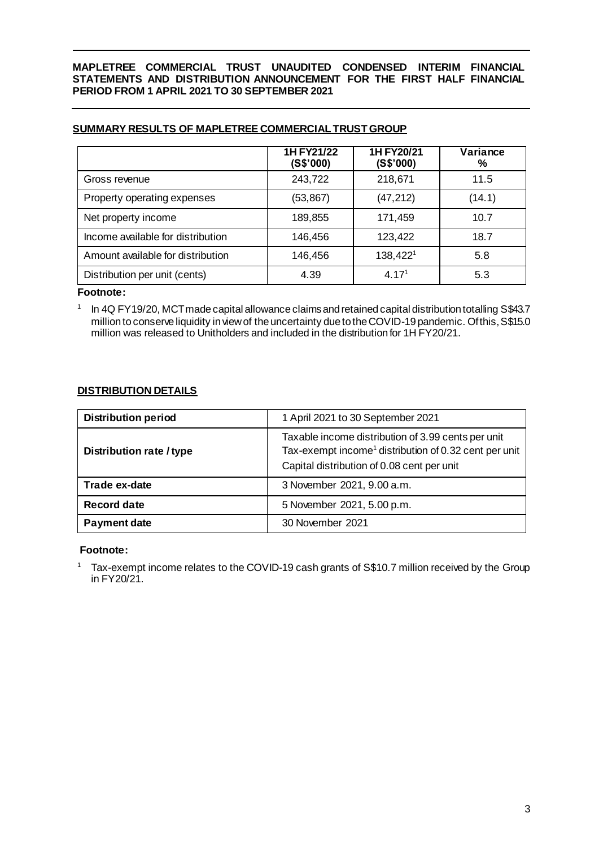|                                   | 1H FY21/22<br>(S\$'000) | 1H FY20/21<br>(S\$'000) | Variance<br>% |
|-----------------------------------|-------------------------|-------------------------|---------------|
| Gross revenue                     | 243,722                 | 218,671                 | 11.5          |
| Property operating expenses       | (53, 867)               | (47, 212)               | (14.1)        |
| Net property income               | 189,855                 | 171,459                 | 10.7          |
| Income available for distribution | 146,456                 | 123,422                 | 18.7          |
| Amount available for distribution | 146,456                 | 138,4221                | 5.8           |
| Distribution per unit (cents)     | 4.39                    | 4.17 <sup>1</sup>       | 5.3           |

# **SUMMARY RESULTS OF MAPLETREE COMMERCIAL TRUST GROUP**

#### **Footnote:**

1

In 4Q FY19/20, MCT made capital allowance claims and retained capital distribution totalling S\$43.7 million to conserve liquidity in view of the uncertainty due to the COVID-19 pandemic. Of this, S\$15.0 million was released to Unitholders and included in the distribution for 1H FY20/21.

# **DISTRIBUTION DETAILS**

| <b>Distribution period</b> | 1 April 2021 to 30 September 2021                                                                                                                                     |
|----------------------------|-----------------------------------------------------------------------------------------------------------------------------------------------------------------------|
| Distribution rate / type   | Taxable income distribution of 3.99 cents per unit<br>Tax-exempt income <sup>1</sup> distribution of 0.32 cent per unit<br>Capital distribution of 0.08 cent per unit |
| Trade ex-date              | 3 November 2021, 9.00 a.m.                                                                                                                                            |
| <b>Record date</b>         | 5 November 2021, 5.00 p.m.                                                                                                                                            |
| Payment date               | 30 November 2021                                                                                                                                                      |

# **Footnote:**

<sup>1</sup> Tax-exempt income relates to the COVID-19 cash grants of S\$10.7 million received by the Group in FY20/21.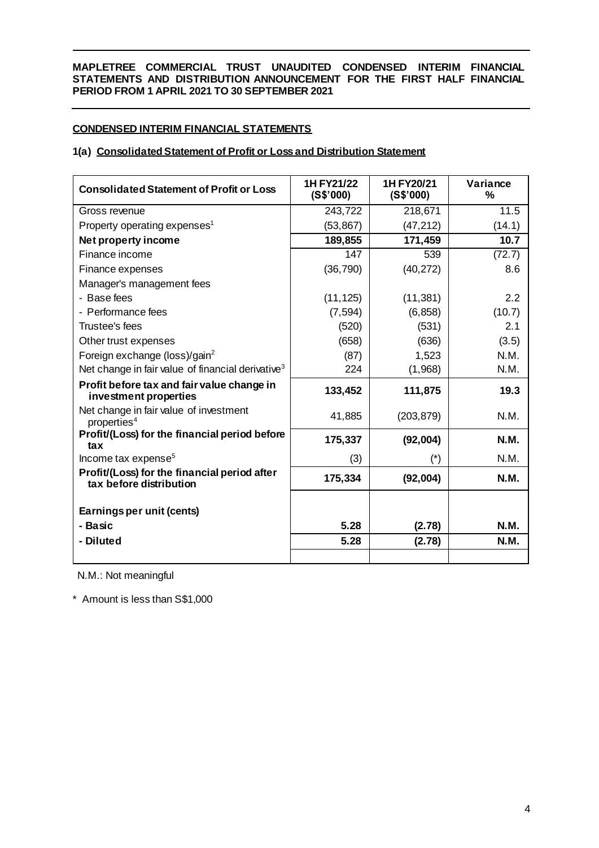# **CONDENSED INTERIM FINANCIAL STATEMENTS**

# **1(a) Consolidated Statement of Profit or Loss and Distribution Statement**

| <b>Consolidated Statement of Profit or Loss</b>                         | 1H FY21/22<br>(S\$'000) | 1H FY20/21<br>(S\$'000) | Variance<br>% |
|-------------------------------------------------------------------------|-------------------------|-------------------------|---------------|
| Gross revenue                                                           | 243,722                 | 218,671                 | 11.5          |
| Property operating expenses <sup>1</sup>                                | (53, 867)               | (47, 212)               | (14.1)        |
| Net property income                                                     | 189,855                 | 171,459                 | 10.7          |
| Finance income                                                          | 147                     | 539                     | (72.7)        |
| Finance expenses                                                        | (36, 790)               | (40, 272)               | 8.6           |
| Manager's management fees                                               |                         |                         |               |
| - Base fees                                                             | (11, 125)               | (11, 381)               | 2.2           |
| - Performance fees                                                      | (7, 594)                | (6, 858)                | (10.7)        |
| Trustee's fees                                                          | (520)                   | (531)                   | 2.1           |
| Other trust expenses                                                    | (658)                   | (636)                   | (3.5)         |
| Foreign exchange (loss)/gain <sup>2</sup>                               | (87)                    | 1,523                   | N.M.          |
| Net change in fair value of financial derivative <sup>3</sup>           | 224                     | (1,968)                 | N.M.          |
| Profit before tax and fair value change in<br>investment properties     | 133,452                 | 111,875                 | 19.3          |
| Net change in fair value of investment<br>properties <sup>4</sup>       | 41,885                  | (203, 879)              | N.M.          |
| Profit/(Loss) for the financial period before<br>tax                    | 175,337                 | (92,004)                | <b>N.M.</b>   |
| Income tax expense <sup>5</sup>                                         | (3)                     | $(\dot{\phantom{a}})$   | N.M.          |
| Profit/(Loss) for the financial period after<br>tax before distribution | 175,334                 | (92,004)                | <b>N.M.</b>   |
| Earnings per unit (cents)                                               |                         |                         |               |
| - Basic                                                                 | 5.28                    | (2.78)                  | N.M.          |
| - Diluted                                                               | 5.28                    | (2.78)                  | <b>N.M.</b>   |
|                                                                         |                         |                         |               |

N.M.: Not meaningful

\* Amount is less than S\$1,000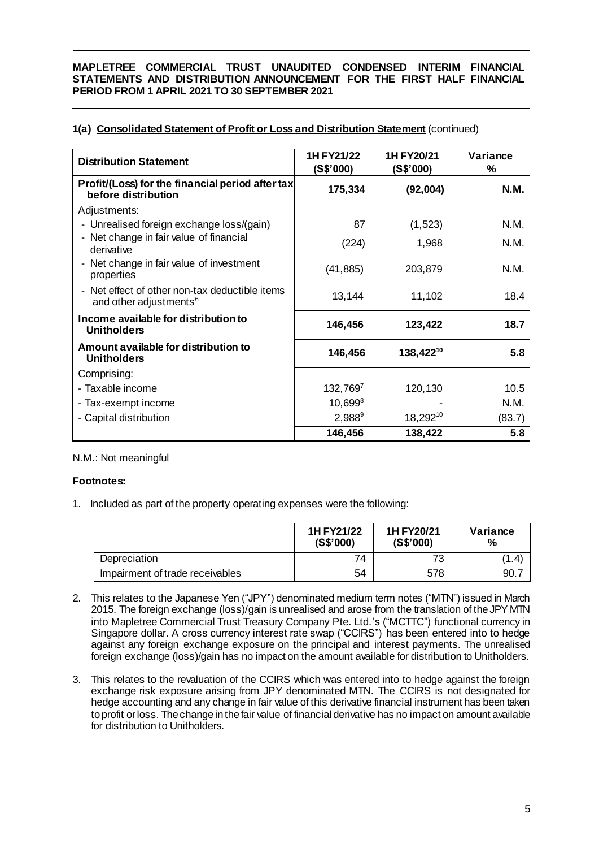# **1(a) Consolidated Statement of Profit or Loss and Distribution Statement** (continued)

| <b>Distribution Statement</b>                                                      | 1H FY21/22<br>(S\$'000) | 1H FY20/21<br>(S\$'000) | Variance<br>% |
|------------------------------------------------------------------------------------|-------------------------|-------------------------|---------------|
| Profit/(Loss) for the financial period after tax<br>before distribution            | 175,334                 | (92,004)                | <b>N.M.</b>   |
| Adjustments:                                                                       |                         |                         |               |
| - Unrealised foreign exchange loss/(gain)                                          | 87                      | (1,523)                 | N.M.          |
| - Net change in fair value of financial<br>derivative                              | (224)                   | 1,968                   | N.M.          |
| Net change in fair value of investment<br>properties                               | (41, 885)               | 203,879                 | N.M.          |
| Net effect of other non-tax deductible items<br>and other adjustments <sup>6</sup> | 13,144                  | 11,102                  | 18.4          |
| Income available for distribution to<br><b>Unitholders</b>                         | 146,456                 | 123,422                 | 18.7          |
| Amount available for distribution to<br><b>Unitholders</b>                         | 146,456                 | 138,42210               | 5.8           |
| Comprising:                                                                        |                         |                         |               |
| - Taxable income                                                                   | 132,7697                | 120,130                 | 10.5          |
| - Tax-exempt income                                                                | $10,699^8$              |                         | N.M.          |
| - Capital distribution                                                             | $2,988^9$               | $18,292^{10}$           | (83.7)        |
|                                                                                    | 146,456                 | 138,422                 | 5.8           |

# N.M.: Not meaningful

# **Footnotes:**

1. Included as part of the property operating expenses were the following:

|                                 | 1H FY21/22<br>(S\$'000) | 1H FY20/21<br>(S\$'000) | Variance<br>℅ |
|---------------------------------|-------------------------|-------------------------|---------------|
| Depreciation                    | 74                      | 73                      | (1.4)         |
| Impairment of trade receivables | 54                      | 578                     | 90.           |

- 2. This relates to the Japanese Yen ("JPY") denominated medium term notes ("MTN") issued in March 2015. The foreign exchange (loss)/gain is unrealised and arose from the translation of the JPY MTN into Mapletree Commercial Trust Treasury Company Pte. Ltd.'s ("MCTTC") functional currency in Singapore dollar. A cross currency interest rate swap ("CCIRS") has been entered into to hedge against any foreign exchange exposure on the principal and interest payments. The unrealised foreign exchange (loss)/gain has no impact on the amount available for distribution to Unitholders.
- 3. This relates to the revaluation of the CCIRS which was entered into to hedge against the foreign exchange risk exposure arising from JPY denominated MTN. The CCIRS is not designated for hedge accounting and any change in fair value of this derivative financial instrument has been taken to profit or loss. The change in the fair value of financial derivative has no impact on amount available for distribution to Unitholders.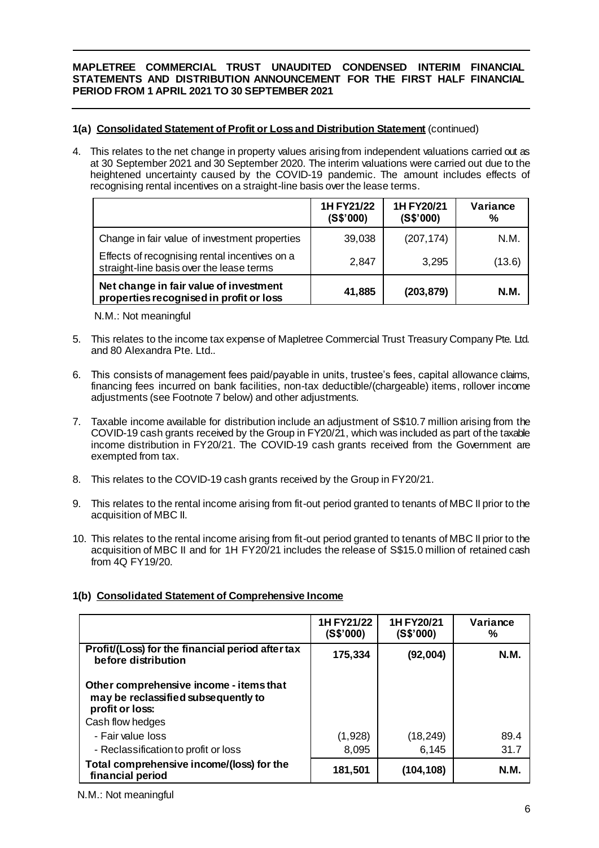# **1(a) Consolidated Statement of Profit or Loss and Distribution Statement** (continued)

4. This relates to the net change in property values arising from independent valuations carried out as at 30 September 2021 and 30 September 2020. The interim valuations were carried out due to the heightened uncertainty caused by the COVID-19 pandemic. The amount includes effects of recognising rental incentives on a straight-line basis over the lease terms.

|                                                                                           | 1H FY21/22<br>(S\$'000) | 1H FY20/21<br>(S\$'000) | Variance<br>% |
|-------------------------------------------------------------------------------------------|-------------------------|-------------------------|---------------|
| Change in fair value of investment properties                                             | 39,038                  | (207, 174)              | N.M.          |
| Effects of recognising rental incentives on a<br>straight-line basis over the lease terms | 2,847                   | 3,295                   | (13.6)        |
| Net change in fair value of investment<br>properties recognised in profit or loss         | 41,885                  | (203, 879)              | N.M.          |

N.M.: Not meaningful

- 5. This relates to the income tax expense of Mapletree Commercial Trust Treasury Company Pte. Ltd. and 80 Alexandra Pte. Ltd..
- 6. This consists of management fees paid/payable in units, trustee's fees, capital allowance claims, financing fees incurred on bank facilities, non-tax deductible/(chargeable) items, rollover income adjustments (see Footnote 7 below) and other adjustments.
- 7. Taxable income available for distribution include an adjustment of S\$10.7 million arising from the COVID-19 cash grants received by the Group in FY20/21, which was included as part of the taxable income distribution in FY20/21. The COVID-19 cash grants received from the Government are exempted from tax.
- 8. This relates to the COVID-19 cash grants received by the Group in FY20/21.
- 9. This relates to the rental income arising from fit-out period granted to tenants of MBC II prior to the acquisition of MBC II.
- 10. This relates to the rental income arising from fit-out period granted to tenants of MBC II prior to the acquisition of MBC II and for 1H FY20/21 includes the release of S\$15.0 million of retained cash from 4Q FY19/20.

|                                                                                                   | 1H FY21/22<br>(S\$'000) | 1H FY20/21<br>(S\$'000) | Variance<br>% |
|---------------------------------------------------------------------------------------------------|-------------------------|-------------------------|---------------|
| Profit/(Loss) for the financial period after tax<br>before distribution                           | 175,334                 | (92,004)                | <b>N.M.</b>   |
| Other comprehensive income - items that<br>may be reclassified subsequently to<br>profit or loss: |                         |                         |               |
| Cash flow hedges                                                                                  |                         |                         |               |
| - Fair value loss                                                                                 | (1,928)                 | (18, 249)               | 89.4          |
| - Reclassification to profit or loss                                                              | 8,095                   | 6,145                   | 31.7          |
| Total comprehensive income/(loss) for the<br>financial period                                     | 181,501                 | (104, 108)              | <b>N.M.</b>   |

# **1(b) Consolidated Statement of Comprehensive Income**

N.M.: Not meaningful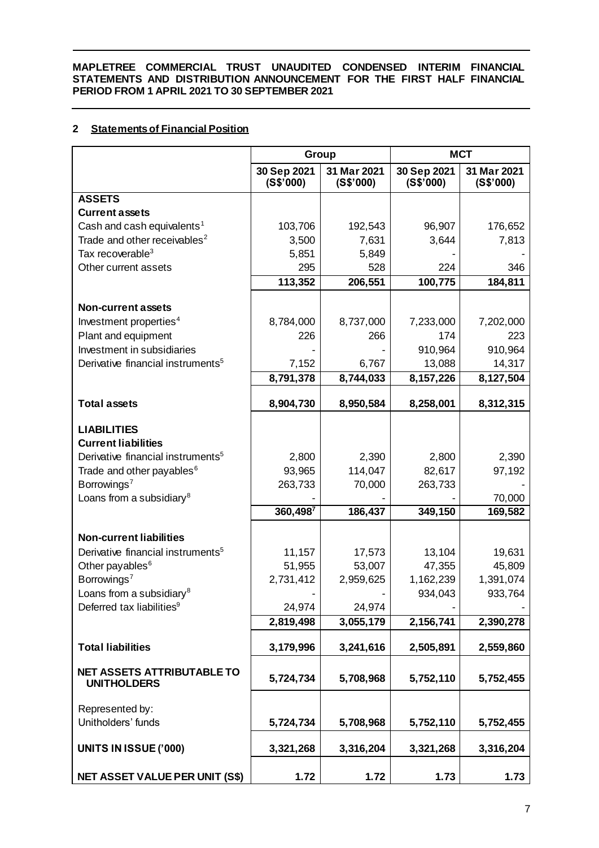# **2 Statements of Financial Position**

|                                                                               | Group                    |                          | <b>MCT</b>               |                          |
|-------------------------------------------------------------------------------|--------------------------|--------------------------|--------------------------|--------------------------|
|                                                                               | 30 Sep 2021<br>(S\$'000) | 31 Mar 2021<br>(S\$'000) | 30 Sep 2021<br>(S\$'000) | 31 Mar 2021<br>(S\$'000) |
| <b>ASSETS</b>                                                                 |                          |                          |                          |                          |
| <b>Current assets</b>                                                         |                          |                          |                          |                          |
| Cash and cash equivalents <sup>1</sup>                                        | 103,706                  | 192,543                  | 96,907                   | 176,652                  |
| Trade and other receivables <sup>2</sup>                                      | 3,500                    | 7,631                    | 3,644                    | 7,813                    |
| Tax recoverable <sup>3</sup>                                                  | 5,851                    | 5,849                    |                          |                          |
| Other current assets                                                          | 295                      | 528                      | 224                      | 346                      |
|                                                                               | 113,352                  | 206,551                  | 100,775                  | 184,811                  |
| <b>Non-current assets</b>                                                     |                          |                          |                          |                          |
| Investment properties <sup>4</sup>                                            | 8,784,000                | 8,737,000                | 7,233,000                | 7,202,000                |
| Plant and equipment                                                           | 226                      | 266                      | 174                      | 223                      |
| Investment in subsidiaries                                                    |                          |                          | 910,964                  | 910,964                  |
| Derivative financial instruments <sup>5</sup>                                 | 7,152                    | 6,767                    | 13,088                   | 14,317                   |
|                                                                               | 8,791,378                | 8,744,033                | 8,157,226                | 8,127,504                |
|                                                                               |                          |                          |                          |                          |
| <b>Total assets</b>                                                           | 8,904,730                | 8,950,584                | 8,258,001                | 8,312,315                |
| <b>LIABILITIES</b>                                                            |                          |                          |                          |                          |
| <b>Current liabilities</b>                                                    |                          |                          |                          |                          |
| Derivative financial instruments <sup>5</sup>                                 | 2,800                    | 2,390                    | 2,800                    | 2,390                    |
| Trade and other payables <sup>6</sup>                                         | 93,965                   | 114,047                  | 82,617                   | 97,192                   |
| Borrowings <sup>7</sup>                                                       | 263,733                  | 70,000                   | 263,733                  |                          |
| Loans from a subsidiary <sup>8</sup>                                          |                          |                          |                          | 70,000                   |
|                                                                               | 360,4987                 | 186,437                  | 349,150                  | 169,582                  |
|                                                                               |                          |                          |                          |                          |
| <b>Non-current liabilities</b>                                                |                          |                          |                          |                          |
| Derivative financial instruments <sup>5</sup>                                 | 11,157                   | 17,573                   | 13,104                   | 19,631                   |
| Other payables <sup>6</sup>                                                   | 51,955                   | 53,007                   | 47,355                   | 45,809                   |
| Borrowings <sup>7</sup>                                                       | 2,731,412                | 2,959,625                | 1,162,239<br>934,043     | 1,391,074                |
| Loans from a subsidiary <sup>8</sup><br>Deferred tax liabilities <sup>9</sup> | 24,974                   | 24,974                   |                          | 933,764                  |
|                                                                               | 2,819,498                | 3,055,179                | 2,156,741                | 2,390,278                |
|                                                                               |                          |                          |                          |                          |
| <b>Total liabilities</b>                                                      | 3,179,996                | 3,241,616                | 2,505,891                | 2,559,860                |
| <b>NET ASSETS ATTRIBUTABLE TO</b><br><b>UNITHOLDERS</b>                       | 5,724,734                | 5,708,968                | 5,752,110                | 5,752,455                |
| Represented by:                                                               |                          |                          |                          |                          |
| Unitholders' funds                                                            | 5,724,734                | 5,708,968                | 5,752,110                | 5,752,455                |
| <b>UNITS IN ISSUE ('000)</b>                                                  | 3,321,268                | 3,316,204                | 3,321,268                | 3,316,204                |
| <b>NET ASSET VALUE PER UNIT (S\$)</b>                                         | 1.72                     | 1.72                     | 1.73                     | 1.73                     |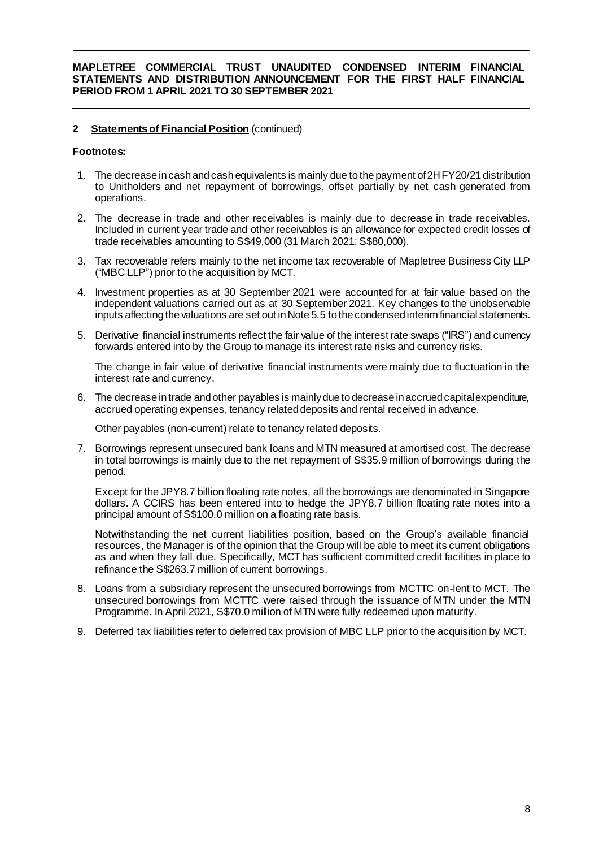# **2 Statementsof Financial Position** (continued)

## **Footnotes:**

- 1. The decrease in cash and cash equivalents is mainly due to the payment of 2HFY20/21 distribution to Unitholders and net repayment of borrowings, offset partially by net cash generated from operations.
- 2. The decrease in trade and other receivables is mainly due to decrease in trade receivables. Included in current year trade and other receivables is an allowance for expected credit losses of trade receivables amounting to S\$49,000 (31 March 2021: S\$80,000).
- 3. Tax recoverable refers mainly to the net income tax recoverable of Mapletree Business City LLP ("MBC LLP") prior to the acquisition by MCT.
- 4. Investment properties as at 30 September 2021 were accounted for at fair value based on the independent valuations carried out as at 30 September 2021. Key changes to the unobservable inputs affecting the valuations are set out in Note 5.5 to the condensed interim financial statements.
- 5. Derivative financial instruments reflect the fair value of the interest rate swaps ("IRS") and currency forwards entered into by the Group to manage its interest rate risks and currency risks.

The change in fair value of derivative financial instruments were mainly due to fluctuation in the interest rate and currency.

6. The decrease in trade and other payables is mainly due to decrease in accrued capital expenditure, accrued operating expenses, tenancy related deposits and rental received in advance.

Other payables (non-current) relate to tenancy related deposits.

7. Borrowings represent unsecured bank loans and MTN measured at amortised cost. The decrease in total borrowings is mainly due to the net repayment of S\$35.9 million of borrowings during the period.

Except for the JPY8.7 billion floating rate notes, all the borrowings are denominated in Singapore dollars. A CCIRS has been entered into to hedge the JPY8.7 billion floating rate notes into a principal amount of S\$100.0 million on a floating rate basis.

Notwithstanding the net current liabilities position, based on the Group's available financial resources, the Manager is of the opinion that the Group will be able to meet its current obligations as and when they fall due. Specifically, MCT has sufficient committed credit facilities in place to refinance the S\$263.7 million of current borrowings.

- 8. Loans from a subsidiary represent the unsecured borrowings from MCTTC on-lent to MCT. The unsecured borrowings from MCTTC were raised through the issuance of MTN under the MTN Programme. In April 2021, S\$70.0 million of MTN were fully redeemed upon maturity.
- 9. Deferred tax liabilities refer to deferred tax provision of MBC LLP prior to the acquisition by MCT.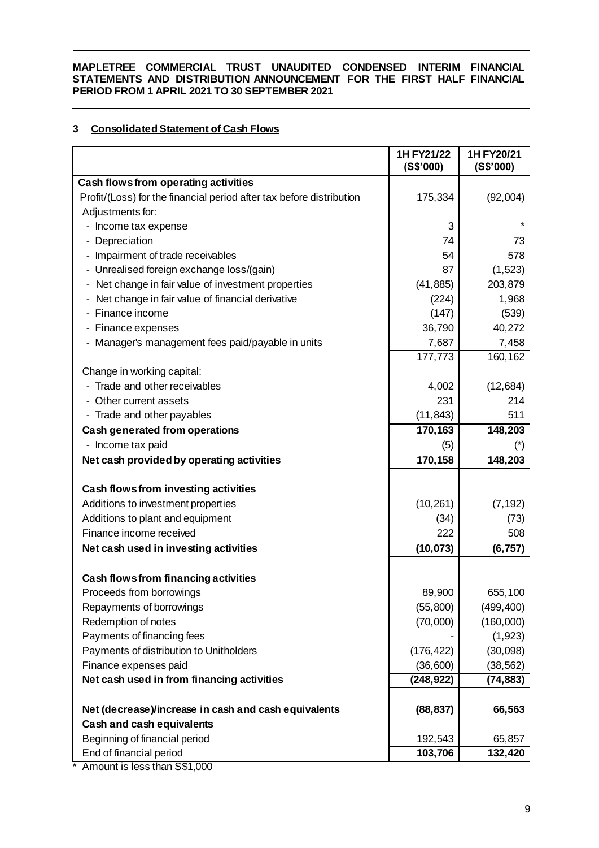# **3 Consolidated Statement of Cash Flows**

|                                                                      | 1H FY21/22<br>(S\$'000) | 1H FY20/21<br>(S\$'000) |
|----------------------------------------------------------------------|-------------------------|-------------------------|
| Cash flows from operating activities                                 |                         |                         |
| Profit/(Loss) for the financial period after tax before distribution | 175,334                 | (92,004)                |
| Adjustments for:                                                     |                         |                         |
| - Income tax expense                                                 | 3                       | $\star$                 |
| - Depreciation                                                       | 74                      | 73                      |
| - Impairment of trade receivables                                    | 54                      | 578                     |
| - Unrealised foreign exchange loss/(gain)                            | 87                      | (1,523)                 |
| Net change in fair value of investment properties                    | (41, 885)               | 203,879                 |
| Net change in fair value of financial derivative                     | (224)                   | 1,968                   |
| - Finance income                                                     | (147)                   | (539)                   |
| - Finance expenses                                                   | 36,790                  | 40,272                  |
| Manager's management fees paid/payable in units                      | 7,687                   | 7,458                   |
|                                                                      | 177,773                 | 160,162                 |
| Change in working capital:                                           |                         |                         |
| Trade and other receivables                                          | 4,002                   | (12, 684)               |
| - Other current assets                                               | 231                     | 214                     |
| - Trade and other payables                                           | (11, 843)               | 511                     |
| Cash generated from operations                                       | 170,163                 | 148,203                 |
| - Income tax paid                                                    | (5)                     | (*)                     |
| Net cash provided by operating activities                            | 170,158                 | 148,203                 |
| Cash flows from investing activities                                 |                         |                         |
| Additions to investment properties                                   | (10, 261)               | (7, 192)                |
| Additions to plant and equipment                                     | (34)                    | (73)                    |
| Finance income received                                              | 222                     | 508                     |
| Net cash used in investing activities                                | (10, 073)               | (6, 757)                |
| Cash flows from financing activities                                 |                         |                         |
| Proceeds from borrowings                                             | 89,900                  | 655,100                 |
| Repayments of borrowings                                             | (55, 800)               | (499, 400)              |
| Redemption of notes                                                  | (70,000)                | (160,000)               |
| Payments of financing fees                                           |                         | (1, 923)                |
| Payments of distribution to Unitholders                              | (176, 422)              | (30,098)                |
| Finance expenses paid                                                | (36, 600)               | (38, 562)               |
| Net cash used in from financing activities                           | (248, 922)              | (74, 883)               |
|                                                                      |                         |                         |
| Net (decrease)/increase in cash and cash equivalents                 | (88, 837)               | 66,563                  |
| <b>Cash and cash equivalents</b>                                     |                         |                         |
| Beginning of financial period                                        | 192,543                 | 65,857                  |
| End of financial period                                              | 103,706                 | 132,420                 |

\* Amount is less than S\$1,000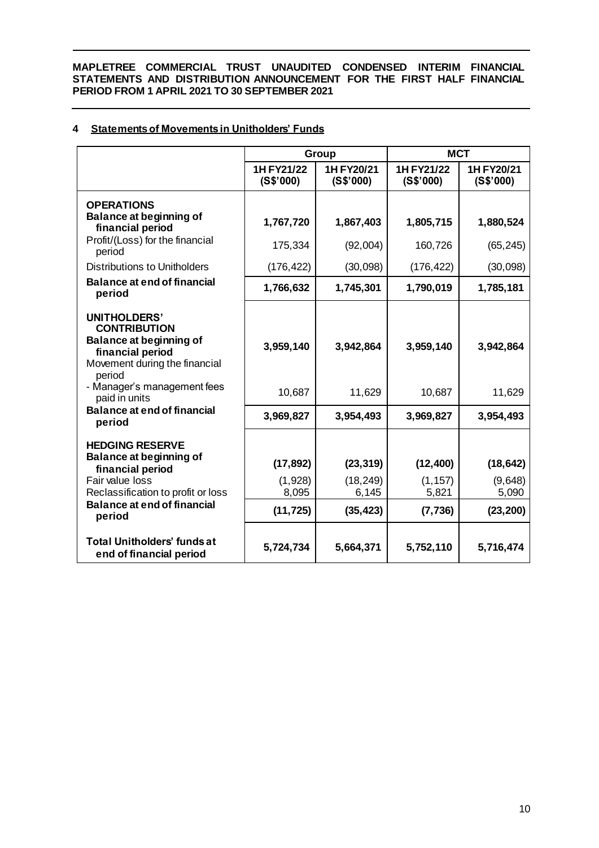# **4 Statements of Movements in Unitholders' Funds**

|                                                                                                                                                                                       |                                            | <b>Group</b>                                 | <b>MCT</b>                                 |                                            |
|---------------------------------------------------------------------------------------------------------------------------------------------------------------------------------------|--------------------------------------------|----------------------------------------------|--------------------------------------------|--------------------------------------------|
|                                                                                                                                                                                       | 1H FY21/22<br>(S\$'000)                    | 1H FY20/21<br>(S\$'000)                      | 1H FY21/22<br>(S\$'000)                    | 1H FY20/21<br>(S\$'000)                    |
| <b>OPERATIONS</b>                                                                                                                                                                     |                                            |                                              |                                            |                                            |
| Balance at beginning of<br>financial period                                                                                                                                           | 1,767,720                                  | 1,867,403                                    | 1,805,715                                  | 1,880,524                                  |
| Profit/(Loss) for the financial<br>period                                                                                                                                             | 175,334                                    | (92,004)                                     | 160,726                                    | (65, 245)                                  |
| Distributions to Unitholders                                                                                                                                                          | (176, 422)                                 | (30,098)                                     | (176, 422)                                 | (30,098)                                   |
| <b>Balance at end of financial</b><br>period                                                                                                                                          | 1,766,632                                  | 1,745,301                                    | 1,790,019                                  | 1,785,181                                  |
| <b>UNITHOLDERS'</b><br><b>CONTRIBUTION</b><br><b>Balance at beginning of</b><br>financial period<br>Movement during the financial<br>period                                           | 3,959,140                                  | 3,942,864                                    | 3,959,140                                  | 3,942,864                                  |
| - Manager's management fees<br>paid in units                                                                                                                                          | 10,687                                     | 11,629                                       | 10,687                                     | 11,629                                     |
| <b>Balance at end of financial</b><br>period                                                                                                                                          | 3,969,827                                  | 3,954,493                                    | 3,969,827                                  | 3,954,493                                  |
| <b>HEDGING RESERVE</b><br><b>Balance at beginning of</b><br>financial period<br>Fair value loss<br>Reclassification to profit or loss<br><b>Balance at end of financial</b><br>period | (17, 892)<br>(1,928)<br>8,095<br>(11, 725) | (23, 319)<br>(18, 249)<br>6,145<br>(35, 423) | (12, 400)<br>(1, 157)<br>5,821<br>(7, 736) | (18, 642)<br>(9,648)<br>5,090<br>(23, 200) |
| <b>Total Unitholders' funds at</b><br>end of financial period                                                                                                                         | 5,724,734                                  | 5,664,371                                    | 5,752,110                                  | 5,716,474                                  |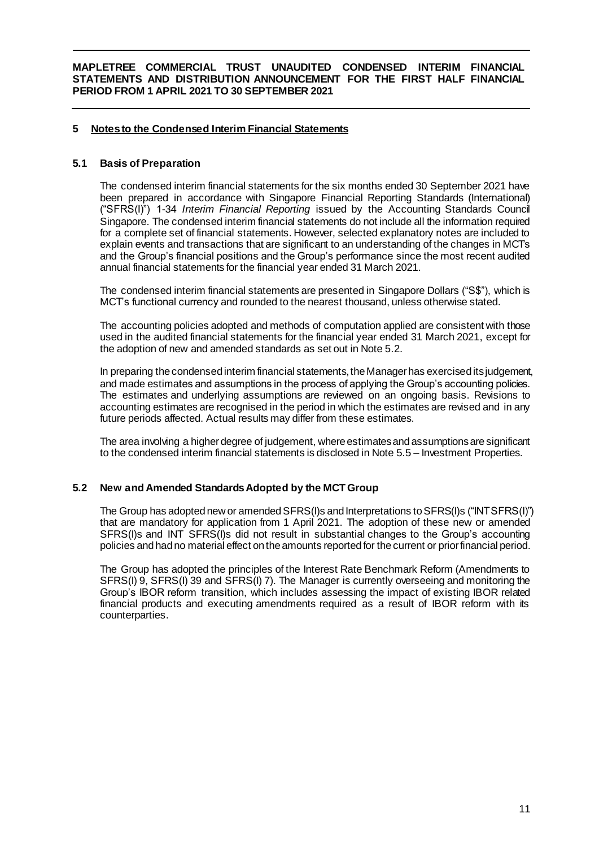# **5 Notes to the Condensed Interim Financial Statements**

### **5.1 Basis of Preparation**

The condensed interim financial statements for the six months ended 30 September 2021 have been prepared in accordance with Singapore Financial Reporting Standards (International) ("SFRS(I)") 1-34 *Interim Financial Reporting* issued by the Accounting Standards Council Singapore. The condensed interim financial statements do not include all the information required for a complete set of financial statements. However, selected explanatory notes are included to explain events and transactions that are significant to an understanding of the changes in MCT's and the Group's financial positions and the Group's performance since the most recent audited annual financial statements for the financial year ended 31 March 2021.

The condensed interim financial statements are presented in Singapore Dollars ("S\$"), which is MCT's functional currency and rounded to the nearest thousand, unless otherwise stated.

The accounting policies adopted and methods of computation applied are consistent with those used in the audited financial statements for the financial year ended 31 March 2021, except for the adoption of new and amended standards as set out in Note 5.2.

In preparing the condensedinterim financial statements, the Manager has exercisedits judgement, and made estimates and assumptions in the process of applying the Group's accounting policies. The estimates and underlying assumptions are reviewed on an ongoing basis. Revisions to accounting estimates are recognised in the period in which the estimates are revised and in any future periods affected. Actual results may differ from these estimates.

The area involving a higher degree of judgement, where estimates and assumptions are significant to the condensed interim financial statements is disclosed in Note 5.5 – Investment Properties.

# **5.2 New and Amended StandardsAdopted by the MCT Group**

The Group has adopted new or amended SFRS(I)s and Interpretations to SFRS(I)s ("INT SFRS(I)") that are mandatory for application from 1 April 2021. The adoption of these new or amended SFRS(I)s and INT SFRS(I)s did not result in substantial changes to the Group's accounting policies and hadno material effect on the amounts reported for the current or priorfinancial period.

The Group has adopted the principles of the Interest Rate Benchmark Reform (Amendments to SFRS(I) 9, SFRS(I) 39 and SFRS(I) 7). The Manager is currently overseeing and monitoring the Group's IBOR reform transition, which includes assessing the impact of existing IBOR related financial products and executing amendments required as a result of IBOR reform with its counterparties.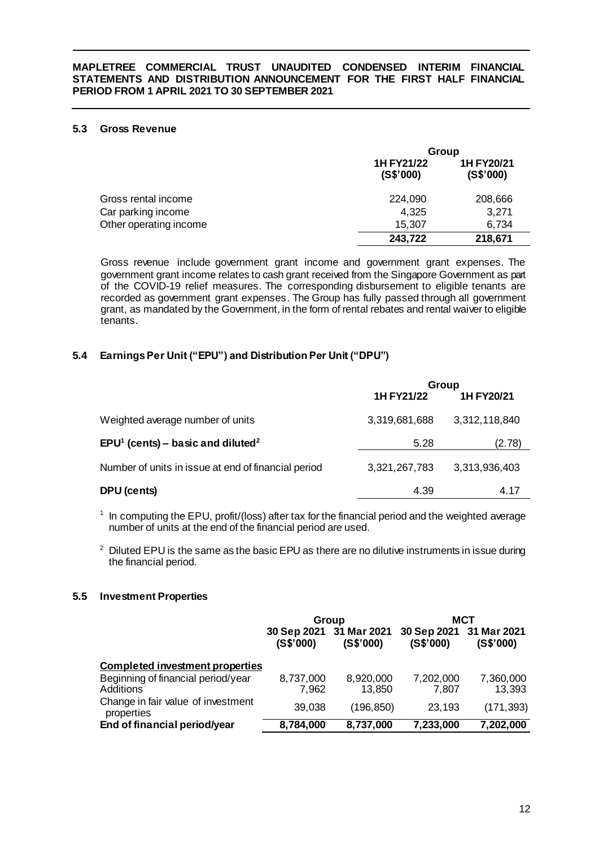# **5.3 Gross Revenue**

|                        | Group                   |                         |  |
|------------------------|-------------------------|-------------------------|--|
|                        | 1H FY21/22<br>(S\$'000) | 1H FY20/21<br>(S\$'000) |  |
| Gross rental income    | 224,090                 | 208,666                 |  |
| Car parking income     | 4,325                   | 3,271                   |  |
| Other operating income | 15,307                  | 6,734                   |  |
|                        | 243,722                 | 218,671                 |  |

Gross revenue include government grant income and government grant expenses. The government grant income relates to cash grant received from the Singapore Government as part of the COVID-19 relief measures. The corresponding disbursement to eligible tenants are recorded as government grant expenses. The Group has fully passed through all government grant, as mandated by the Government, in the form of rental rebates and rental waiver to eligible tenants.

# **5.4 EarningsPer Unit ("EPU") and Distribution Per Unit ("DPU")**

|                                                           | Group         |               |  |
|-----------------------------------------------------------|---------------|---------------|--|
|                                                           | 1H FY21/22    | 1H FY20/21    |  |
| Weighted average number of units                          | 3,319,681,688 | 3,312,118,840 |  |
| EPU <sup>1</sup> (cents) – basic and diluted <sup>2</sup> | 5.28          | (2.78)        |  |
| Number of units in issue at end of financial period       | 3,321,267,783 | 3,313,936,403 |  |
| DPU (cents)                                               | 4.39          | 4.17          |  |

<sup>1</sup> In computing the EPU, profit/(loss) after tax for the financial period and the weighted average number of units at the end of the financial period are used.

 $2$  Diluted EPU is the same as the basic EPU as there are no dilutive instruments in issue during the financial period.

# **5.5 Investment Properties**

|                                                  | Group                                |            |                          | MCT                      |
|--------------------------------------------------|--------------------------------------|------------|--------------------------|--------------------------|
|                                                  | 30 Sep 2021 31 Mar 2021<br>(S\$'000) | (S\$'000)  | 30 Sep 2021<br>(S\$'000) | 31 Mar 2021<br>(S\$'000) |
| <b>Completed investment properties</b>           |                                      |            |                          |                          |
| Beginning of financial period/year               | 8,737,000                            | 8,920,000  | 7,202,000                | 7,360,000                |
| Additions                                        | 7,962                                | 13,850     | 7,807                    | 13,393                   |
| Change in fair value of investment<br>properties | 39,038                               | (196, 850) | 23,193                   | (171, 393)               |
| End of financial period/year                     | 8,784,000                            | 8,737,000  | 7,233,000                | 7,202,000                |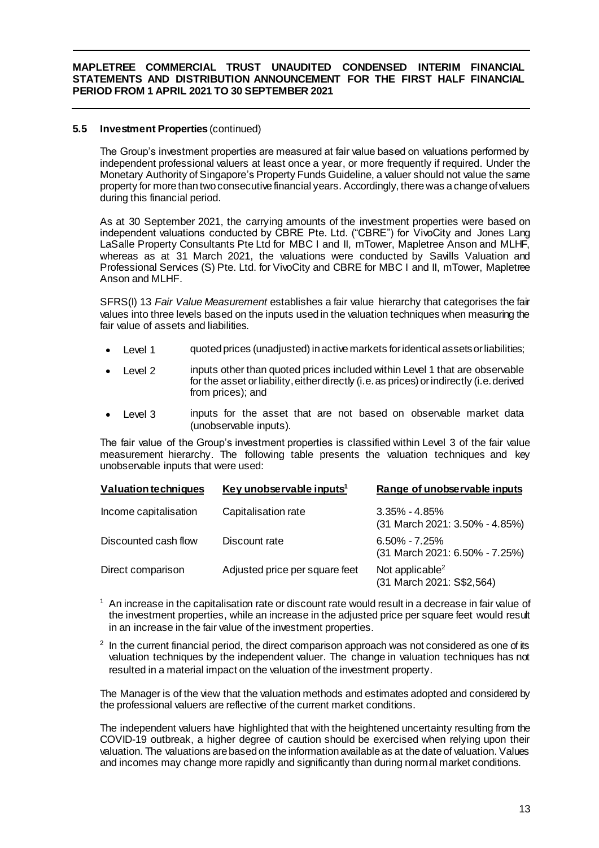# **5.5 Investment Properties** (continued)

The Group's investment properties are measured at fair value based on valuations performed by independent professional valuers at least once a year, or more frequently if required. Under the Monetary Authority of Singapore's Property Funds Guideline, a valuer should not value the same property for more than two consecutive financial years. Accordingly, there was a change of valuers during this financial period.

As at 30 September 2021, the carrying amounts of the investment properties were based on independent valuations conducted by CBRE Pte. Ltd. ("CBRE") for VivoCity and Jones Lang LaSalle Property Consultants Pte Ltd for MBC I and II, mTower, Mapletree Anson and MLHF, whereas as at 31 March 2021, the valuations were conducted by Savills Valuation and Professional Services (S) Pte. Ltd. for VivoCity and CBRE for MBC I and II, mTower, Mapletree Anson and MLHF.

SFRS(I) 13 *Fair Value Measurement* establishes a fair value hierarchy that categorises the fair values into three levels based on the inputs used in the valuation techniques when measuring the fair value of assets and liabilities.

- Level 1 quoted prices (unadjusted) in active markets for identical assets or liabilities;
- Level 2 inputs other than quoted prices included within Level 1 that are observable for the asset or liability, either directly (i.e. as prices) or indirectly (i.e. derived from prices); and
- Level 3 inputs for the asset that are not based on observable market data (unobservable inputs).

The fair value of the Group's investment properties is classified within Level 3 of the fair value measurement hierarchy. The following table presents the valuation techniques and key unobservable inputs that were used:

| <b>Valuation techniques</b> | Key unobservable inputs <sup>1</sup> | Range of unobservable inputs                             |
|-----------------------------|--------------------------------------|----------------------------------------------------------|
| Income capitalisation       | Capitalisation rate                  | $3.35\% - 4.85\%$<br>(31 March 2021: 3.50% - 4.85%)      |
| Discounted cash flow        | Discount rate                        | $6.50\% - 7.25\%$<br>(31 March 2021: 6.50% - 7.25%)      |
| Direct comparison           | Adjusted price per square feet       | Not applicable <sup>2</sup><br>(31 March 2021: S\$2,564) |

 $<sup>1</sup>$  An increase in the capitalisation rate or discount rate would result in a decrease in fair value of</sup> the investment properties, while an increase in the adjusted price per square feet would result in an increase in the fair value of the investment properties.

 $2$  In the current financial period, the direct comparison approach was not considered as one of its valuation techniques by the independent valuer. The change in valuation techniques has not resulted in a material impact on the valuation of the investment property.

The Manager is of the view that the valuation methods and estimates adopted and considered by the professional valuers are reflective of the current market conditions.

The independent valuers have highlighted that with the heightened uncertainty resulting from the COVID-19 outbreak, a higher degree of caution should be exercised when relying upon their valuation. The valuations are based on the information available as at the date of valuation. Values and incomes may change more rapidly and significantly than during normal market conditions.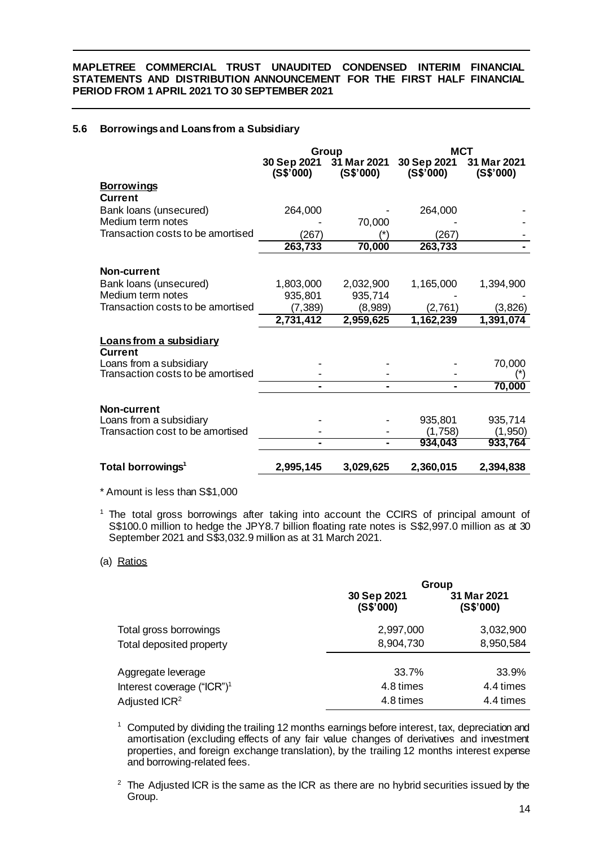# **5.6 Borrowings and Loans from a Subsidiary**

|                                                             |                          | Group                    | MCT                      |                          |
|-------------------------------------------------------------|--------------------------|--------------------------|--------------------------|--------------------------|
|                                                             | 30 Sep 2021<br>(S\$'000) | 31 Mar 2021<br>(S\$'000) | 30 Sep 2021<br>(S\$'000) | 31 Mar 2021<br>(S\$'000) |
| <u>Borrowings</u>                                           |                          |                          |                          |                          |
| <b>Current</b>                                              |                          |                          |                          |                          |
| Bank loans (unsecured)                                      | 264,000                  |                          | 264,000                  |                          |
| Medium term notes                                           |                          | 70,000                   |                          |                          |
| Transaction costs to be amortised                           | (267)                    |                          | (267                     |                          |
|                                                             | 263,733                  | 70,000                   | 263,733                  |                          |
| Non-current                                                 |                          |                          |                          |                          |
| Bank loans (unsecured)                                      | 1,803,000                | 2,032,900                | 1,165,000                | 1,394,900                |
| Medium term notes                                           | 935,801                  | 935,714                  |                          |                          |
| Transaction costs to be amortised                           | (7, 389)                 | (8,989)                  | (2,761)                  | (3,826)                  |
|                                                             | 2,731,412                | 2,959,625                | 1,162,239                | 1,391,074                |
| <u>Loans from a subsidiary</u>                              |                          |                          |                          |                          |
| Current                                                     |                          |                          |                          |                          |
| Loans from a subsidiary                                     |                          |                          |                          | 70,000                   |
| Transaction costs to be amortised                           |                          |                          |                          |                          |
|                                                             | -                        |                          |                          | 70,000                   |
|                                                             |                          |                          |                          |                          |
| Non-current                                                 |                          |                          | 935,801                  |                          |
| Loans from a subsidiary<br>Transaction cost to be amortised |                          |                          | (1,758)                  | 935,714<br>(1,950)       |
|                                                             |                          |                          | 934,043                  | 933,764                  |
|                                                             |                          |                          |                          |                          |
| Total borrowings <sup>1</sup>                               | 2,995,145                | 3,029,625                | 2,360,015                | 2,394,838                |

\* Amount is less than S\$1,000

<sup>1</sup> The total gross borrowings after taking into account the CCIRS of principal amount of S\$100.0 million to hedge the JPY8.7 billion floating rate notes is S\$2,997.0 million as at 30 September 2021 and S\$3,032.9 million as at 31 March 2021.

#### (a) Ratios

|                                        |                          | <b>Group</b>             |
|----------------------------------------|--------------------------|--------------------------|
|                                        | 30 Sep 2021<br>(S\$'000) | 31 Mar 2021<br>(S\$'000) |
| Total gross borrowings                 | 2,997,000                | 3,032,900                |
| Total deposited property               | 8,904,730                | 8,950,584                |
| Aggregate leverage                     | 33.7%                    | 33.9%                    |
| Interest coverage ("ICR") <sup>1</sup> | 4.8 times                | 4.4 times                |
| Adjusted ICR <sup>2</sup>              | 4.8 times                | 4.4 times                |

<sup>1</sup> Computed by dividing the trailing 12 months earnings before interest, tax, depreciation and amortisation (excluding effects of any fair value changes of derivatives and investment properties, and foreign exchange translation), by the trailing 12 months interest expense and borrowing-related fees.

 $2$  The Adjusted ICR is the same as the ICR as there are no hybrid securities issued by the Group.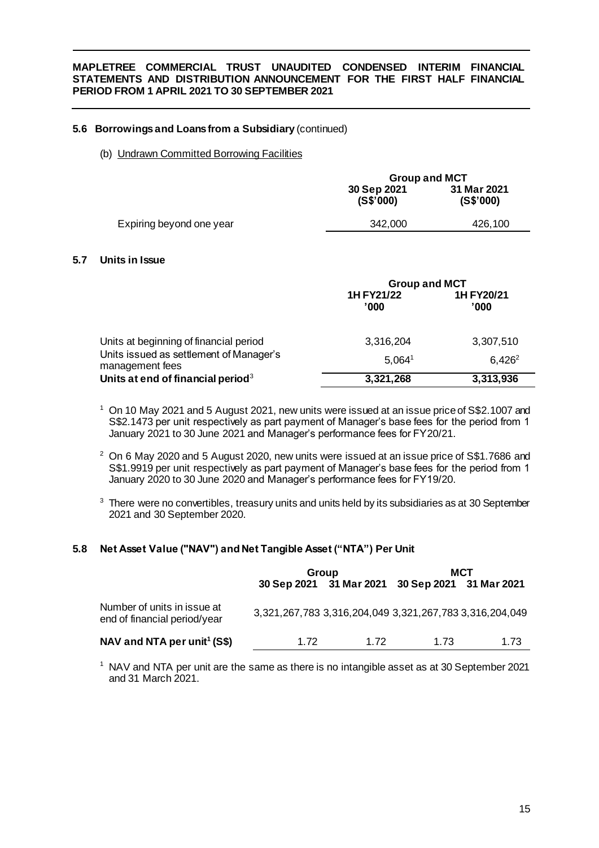# **5.6 Borrowings and Loans from a Subsidiary** (continued)

### (b) Undrawn Committed Borrowing Facilities

|                          |                          | <b>Group and MCT</b>     |  |  |
|--------------------------|--------------------------|--------------------------|--|--|
|                          | 30 Sep 2021<br>(S\$'000) | 31 Mar 2021<br>(S\$'000) |  |  |
| Expiring beyond one year | 342,000                  | 426,100                  |  |  |
|                          |                          |                          |  |  |

# **5.7 Units in Issue**

|                                                            | <b>Group and MCT</b> |                     |  |
|------------------------------------------------------------|----------------------|---------------------|--|
|                                                            | 1H FY21/22<br>'000   | 1H FY20/21<br>'000' |  |
| Units at beginning of financial period                     | 3,316,204            | 3,307,510           |  |
| Units issued as settlement of Manager's<br>management fees | $5,064^{\circ}$      | $6.426^2$           |  |
| Units at end of financial period <sup>3</sup>              | 3,321,268            | 3,313,936           |  |

- <sup>1</sup> On 10 May 2021 and 5 August 2021, new units were issued at an issue price of S\$2.1007 and S\$2.1473 per unit respectively as part payment of Manager's base fees for the period from 1 January 2021 to 30 June 2021 and Manager's performance fees for FY20/21.
- <sup>2</sup> On 6 May 2020 and 5 August 2020, new units were issued at an issue price of S\$1.7686 and S\$1.9919 per unit respectively as part payment of Manager's base fees for the period from 1 January 2020 to 30 June 2020 and Manager's performance fees for FY19/20.
- <sup>3</sup> There were no convertibles, treasury units and units held by its subsidiaries as at 30 September 2021 and 30 September 2020.

# **5.8 Net Asset Value ("NAV") and Net Tangible Asset ("NTA") Per Unit**

|                                                             |                                                         | Group                                           | MCT  |      |  |
|-------------------------------------------------------------|---------------------------------------------------------|-------------------------------------------------|------|------|--|
|                                                             |                                                         | 30 Sep 2021 31 Mar 2021 30 Sep 2021 31 Mar 2021 |      |      |  |
| Number of units in issue at<br>end of financial period/year | 3,321,267,783 3,316,204,049 3,321,267,783 3,316,204,049 |                                                 |      |      |  |
| NAV and NTA per unit <sup>1</sup> (S\$)                     | 1 72                                                    | 1 72                                            | 1 73 | 1.73 |  |

<sup>1</sup> NAV and NTA per unit are the same as there is no intangible asset as at 30 September 2021 and 31 March 2021.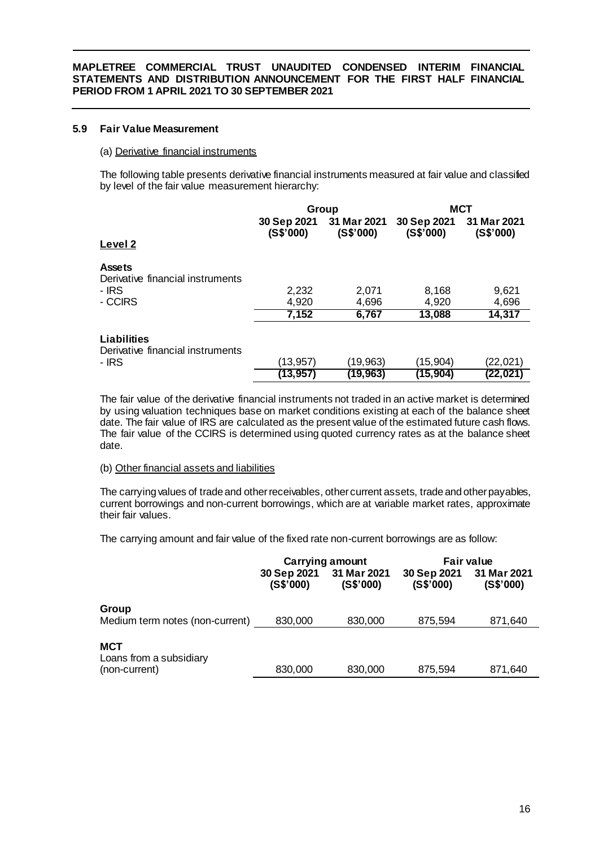# **5.9 Fair Value Measurement**

## (a) Derivative financial instruments

The following table presents derivative financial instruments measured at fair value and classified by level of the fair value measurement hierarchy:

|                                                          |                          | Group                    | MCT                      |                          |  |
|----------------------------------------------------------|--------------------------|--------------------------|--------------------------|--------------------------|--|
| Level 2                                                  | 30 Sep 2021<br>(S\$'000) | 31 Mar 2021<br>(S\$'000) | 30 Sep 2021<br>(S\$'000) | 31 Mar 2021<br>(S\$'000) |  |
| <b>Assets</b><br>Derivative financial instruments        |                          |                          |                          |                          |  |
| - IRS                                                    | 2,232                    | 2,071                    | 8,168                    | 9,621                    |  |
| - CCIRS                                                  | 4,920                    | 4,696                    | 4,920                    | 4,696                    |  |
|                                                          | 7,152                    | 6,767                    | 13,088                   | 14,317                   |  |
| Liabilities<br>Derivative financial instruments<br>- IRS | (13,957)                 | (19,963)                 | (15,904)                 | (22,021)                 |  |
|                                                          |                          |                          | (15,904)                 |                          |  |
|                                                          | (13,957)                 | (19,963)                 |                          | (22,021                  |  |

The fair value of the derivative financial instruments not traded in an active market is determined by using valuation techniques base on market conditions existing at each of the balance sheet date. The fair value of IRS are calculated as the present value of the estimated future cash flows. The fair value of the CCIRS is determined using quoted currency rates as at the balance sheet date.

#### (b) Other financial assets and liabilities

The carrying values of trade and other receivables, other current assets, trade and other payables, current borrowings and non-current borrowings, which are at variable market rates, approximate their fair values.

The carrying amount and fair value of the fixed rate non-current borrowings are as follow:

|                                                        |                          | <b>Carrying amount</b>   | Fair value               |                          |
|--------------------------------------------------------|--------------------------|--------------------------|--------------------------|--------------------------|
|                                                        | 30 Sep 2021<br>(S\$'000) | 31 Mar 2021<br>(S\$'000) | 30 Sep 2021<br>(S\$'000) | 31 Mar 2021<br>(S\$'000) |
| Group                                                  |                          |                          |                          |                          |
| Medium term notes (non-current)                        | 830,000                  | 830,000                  | 875,594                  | 871,640                  |
| <b>MCT</b><br>Loans from a subsidiary<br>(non-current) | 830,000                  | 830,000                  | 875,594                  | 871,640                  |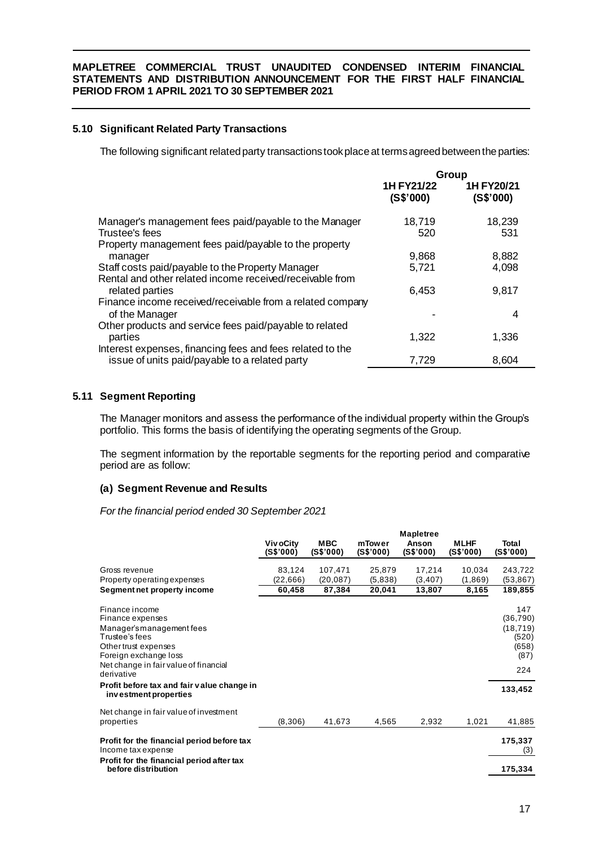# **5.10 Significant Related Party Transactions**

The following significant related party transactions took place at terms agreed between the parties:

|                                                                                                              | <b>Group</b>            |                         |
|--------------------------------------------------------------------------------------------------------------|-------------------------|-------------------------|
|                                                                                                              | 1H FY21/22<br>(S\$'000) | 1H FY20/21<br>(S\$'000) |
| Manager's management fees paid/payable to the Manager<br>Trustee's fees                                      | 18,719<br>520           | 18,239<br>531           |
| Property management fees paid/payable to the property                                                        |                         |                         |
| manager                                                                                                      | 9,868                   | 8,882                   |
| Staff costs paid/payable to the Property Manager<br>Rental and other related income received/receivable from | 5,721                   | 4,098                   |
| related parties                                                                                              | 6,453                   | 9,817                   |
| Finance income received/receivable from a related company                                                    |                         |                         |
| of the Manager                                                                                               |                         | 4                       |
| Other products and service fees paid/payable to related<br>parties                                           | 1,322                   | 1,336                   |
| Interest expenses, financing fees and fees related to the                                                    |                         |                         |
| issue of units paid/payable to a related party                                                               | 7,729                   | 8,604                   |

# **5.11 Segment Reporting**

The Manager monitors and assess the performance of the individual property within the Group's portfolio. This forms the basis of identifying the operating segments of the Group.

The segment information by the reportable segments for the reporting period and comparative period are as follow:

# **(a) Segment Revenue and Results**

*For the financial period ended 30 September 2021*

|                                                                                                                                                                             | <b>Mapletree</b>       |                         |                     |                    |                          |                                                                |
|-----------------------------------------------------------------------------------------------------------------------------------------------------------------------------|------------------------|-------------------------|---------------------|--------------------|--------------------------|----------------------------------------------------------------|
|                                                                                                                                                                             | Viv oCity<br>(S\$'000) | <b>MBC</b><br>(S\$'000) | mTower<br>(S\$'000) | Anson<br>(S\$'000) | <b>MLHF</b><br>(S\$'000) | Total<br>(S\$'000)                                             |
| Gross revenue                                                                                                                                                               | 83,124                 | 107,471                 | 25,879              | 17,214             | 10,034                   | 243,722                                                        |
| Property operating expenses                                                                                                                                                 | (22, 666)              | (20, 087)               | (5,838)             | (3, 407)           | (1,869)                  | (53, 867)                                                      |
| Segment net property income                                                                                                                                                 | 60,458                 | 87,384                  | 20,041              | 13,807             | 8,165                    | 189,855                                                        |
| Finance income<br>Finance expenses<br>Manager's management fees<br>Trustee's fees<br>Other trust expenses<br>Foreign exchange loss<br>Net change in fair value of financial |                        |                         |                     |                    |                          | 147<br>(36, 790)<br>(18, 719)<br>(520)<br>(658)<br>(87)<br>224 |
| derivative                                                                                                                                                                  |                        |                         |                     |                    |                          |                                                                |
| Profit before tax and fair value change in<br>investment properties                                                                                                         |                        |                         |                     |                    |                          | 133,452                                                        |
| Net change in fair value of investment<br>properties                                                                                                                        | (8,306)                | 41,673                  | 4,565               | 2,932              | 1,021                    | 41,885                                                         |
| Profit for the financial period before tax<br>Income tax expense                                                                                                            |                        |                         |                     |                    |                          | 175,337<br>(3)                                                 |
| Profit for the financial period after tax<br>before distribution                                                                                                            |                        |                         |                     |                    |                          | 175,334                                                        |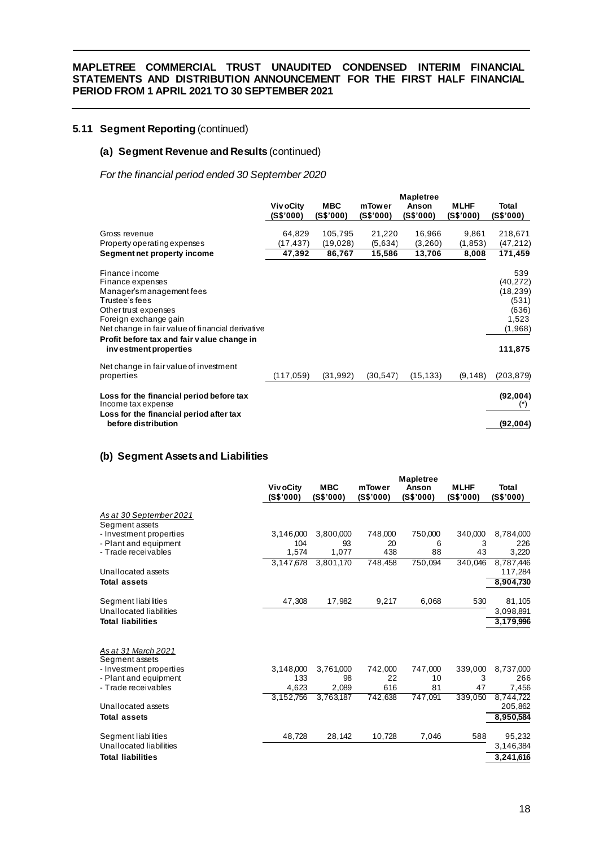# **5.11 Segment Reporting** (continued)

# **(a) Segment Revenue and Results** (continued)

*For the financial period ended 30 September 2020*

|                                                                                                                                                                                                                                                               | <b>Mapletree</b> |            |           |           |             |                                                                                |  |  |
|---------------------------------------------------------------------------------------------------------------------------------------------------------------------------------------------------------------------------------------------------------------|------------------|------------|-----------|-----------|-------------|--------------------------------------------------------------------------------|--|--|
|                                                                                                                                                                                                                                                               | <b>VivoCity</b>  | <b>MBC</b> | mTower    | Anson     | <b>MLHF</b> | Total                                                                          |  |  |
|                                                                                                                                                                                                                                                               | (S\$'000)        | (S\$'000)  | (S\$'000) | (S\$'000) | (S\$'000)   | (S\$'000)                                                                      |  |  |
| Gross revenue                                                                                                                                                                                                                                                 | 64,829           | 105,795    | 21,220    | 16,966    | 9,861       | 218,671                                                                        |  |  |
| Property operating expenses                                                                                                                                                                                                                                   | (17,437)         | (19, 028)  | (5,634)   | (3,260)   | (1, 853)    | (47, 212)                                                                      |  |  |
| Segment net property income                                                                                                                                                                                                                                   | 47,392           | 86,767     | 15,586    | 13,706    | 8,008       | 171,459                                                                        |  |  |
| Finance income<br>Finance expenses<br>Manager's management fees<br>Trustee's fees<br>Other trust expenses<br>Foreign exchange gain<br>Net change in fair value of financial derivative<br>Profit before tax and fair value change in<br>investment properties |                  |            |           |           |             | 539<br>(40, 272)<br>(18, 239)<br>(531)<br>(636)<br>1,523<br>(1,968)<br>111,875 |  |  |
| Net change in fair value of investment<br>properties                                                                                                                                                                                                          | (117, 059)       | (31, 992)  | (30, 547) | (15, 133) | (9, 148)    | (203, 879)                                                                     |  |  |
| Loss for the financial period before tax<br>Income tax expense                                                                                                                                                                                                |                  |            |           |           |             | (92,004)<br>$(*)$                                                              |  |  |
| Loss for the financial period after tax<br>before distribution                                                                                                                                                                                                |                  |            |           |           |             | (92, 004)                                                                      |  |  |

### **(b) Segment Assets and Liabilities**

|                                           |                        | <b>Mapletree</b>        |                     |                    |                          |                           |  |  |  |
|-------------------------------------------|------------------------|-------------------------|---------------------|--------------------|--------------------------|---------------------------|--|--|--|
|                                           | Viv oCity<br>(S\$'000) | <b>MBC</b><br>(S\$'000) | mTower<br>(S\$'000) | Anson<br>(S\$'000) | <b>MLHF</b><br>(S\$'000) | <b>Total</b><br>(S\$'000) |  |  |  |
| As at 30 September 2021<br>Segment assets |                        |                         |                     |                    |                          |                           |  |  |  |
| - Investment properties                   | 3,146,000              | 3,800,000               | 748,000             | 750,000            | 340,000                  | 8,784,000                 |  |  |  |
| - Plant and equipment                     | 104                    | 93                      | 20                  | 6                  | 3                        | 226                       |  |  |  |
| - Trade receivables                       | 1,574                  | 1,077                   | 438                 | 88                 | 43                       | 3,220                     |  |  |  |
|                                           | 3,147,678              | 3,801,170               | 748,458             | 750,094            | 340.046                  | 8,787,446                 |  |  |  |
| Unallocated assets                        |                        |                         |                     |                    |                          | 117,284                   |  |  |  |
| <b>Total assets</b>                       |                        |                         |                     |                    |                          | 8,904,730                 |  |  |  |
| Segment liabilities                       | 47,308                 | 17,982                  | 9,217               | 6,068              | 530                      | 81,105                    |  |  |  |
| Unallocated liabilities                   |                        |                         |                     |                    |                          | 3,098,891                 |  |  |  |
| <b>Total liabilities</b>                  |                        |                         |                     |                    |                          | 3,179,996                 |  |  |  |
| As at 31 March 2021<br>Segment assets     |                        |                         |                     |                    |                          |                           |  |  |  |
| - Investment properties                   | 3,148,000              | 3,761,000               | 742,000             | 747,000            | 339,000                  | 8,737,000                 |  |  |  |
| - Plant and equipment                     | 133                    | 98                      | 22                  | 10                 | 3                        | 266                       |  |  |  |
| - Trade receivables                       | 4,623                  | 2,089                   | 616                 | 81                 | 47                       | 7,456                     |  |  |  |
|                                           | 3,152,756              | 3,763,187               | 742,638             | 747,091            | 339,050                  | 8,744,722                 |  |  |  |
| Unallocated assets                        |                        |                         |                     |                    |                          | 205,862                   |  |  |  |
| Total assets                              |                        |                         |                     |                    |                          | 8,950,584                 |  |  |  |
| Segment liabilities                       | 48,728                 | 28,142                  | 10,728              | 7,046              | 588                      | 95,232                    |  |  |  |
| Unallocated liabilities                   |                        |                         |                     |                    |                          | 3,146,384                 |  |  |  |
| <b>Total liabilities</b>                  |                        |                         |                     |                    |                          | 3,241,616                 |  |  |  |
|                                           |                        |                         |                     |                    |                          |                           |  |  |  |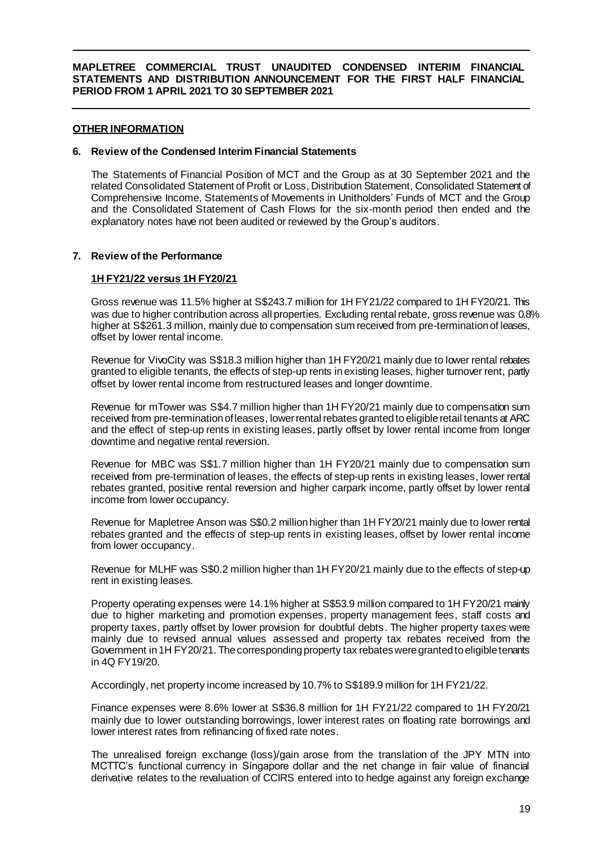# **OTHER INFORMATION**

#### **6. Review of the Condensed Interim Financial Statements**

The Statements of Financial Position of MCT and the Group as at 30 September 2021 and the related Consolidated Statement of Profit or Loss, Distribution Statement, Consolidated Statement of Comprehensive Income, Statements of Movements in Unitholders' Funds of MCT and the Group and the Consolidated Statement of Cash Flows for the six-month period then ended and the explanatory notes have not been audited or reviewed by the Group's auditors.

#### **7. Review of the Performance**

#### **1H FY21/22 versus 1H FY20/21**

Gross revenue was 11.5% higher at S\$243.7 million for 1H FY21/22 compared to 1H FY20/21. This was due to higher contribution across all properties. Excluding rental rebate, gross revenue was 0.8% higher at S\$261.3 million, mainly due to compensation sum received from pre-termination of leases, offset by lower rental income.

Revenue for VivoCity was S\$18.3 million higher than 1H FY20/21 mainly due to lower rental rebates granted to eligible tenants, the effects of step-up rents in existing leases, higher turnover rent, partly offset by lower rental income from restructured leases and longer downtime.

Revenue for mTower was S\$4.7 million higher than 1H FY20/21 mainly due to compensation sum received from pre-termination of leases, lower rental rebates granted to eligible retail tenants at ARC and the effect of step-up rents in existing leases, partly offset by lower rental income from longer downtime and negative rental reversion.

Revenue for MBC was S\$1.7 million higher than 1H FY20/21 mainly due to compensation sum received from pre-termination of leases, the effects of step-up rents in existing leases, lower rental rebates granted, positive rental reversion and higher carpark income, partly offset by lower rental income from lower occupancy.

Revenue for Mapletree Anson was S\$0.2 million higher than 1H FY20/21 mainly due to lower rental rebates granted and the effects of step-up rents in existing leases, offset by lower rental income from lower occupancy.

Revenue for MLHF was S\$0.2 million higher than 1H FY20/21 mainly due to the effects of step-up rent in existing leases.

Property operating expenses were 14.1% higher at S\$53.9 million compared to 1H FY20/21 mainly due to higher marketing and promotion expenses, property management fees, staff costs and property taxes, partly offset by lower provision for doubtful debts. The higher property taxes were mainly due to revised annual values assessed and property tax rebates received from the Government in 1H FY20/21. The corresponding property tax rebates were granted to eligible tenants in 4Q FY19/20.

Accordingly, net property income increased by 10.7% to S\$189.9 million for 1H FY21/22.

Finance expenses were 8.6% lower at S\$36.8 million for 1H FY21/22 compared to 1H FY20/21 mainly due to lower outstanding borrowings, lower interest rates on floating rate borrowings and lower interest rates from refinancing of fixed rate notes.

The unrealised foreign exchange (loss)/gain arose from the translation of the JPY MTN into MCTTC's functional currency in Singapore dollar and the net change in fair value of financial derivative relates to the revaluation of CCIRS entered into to hedge against any foreign exchange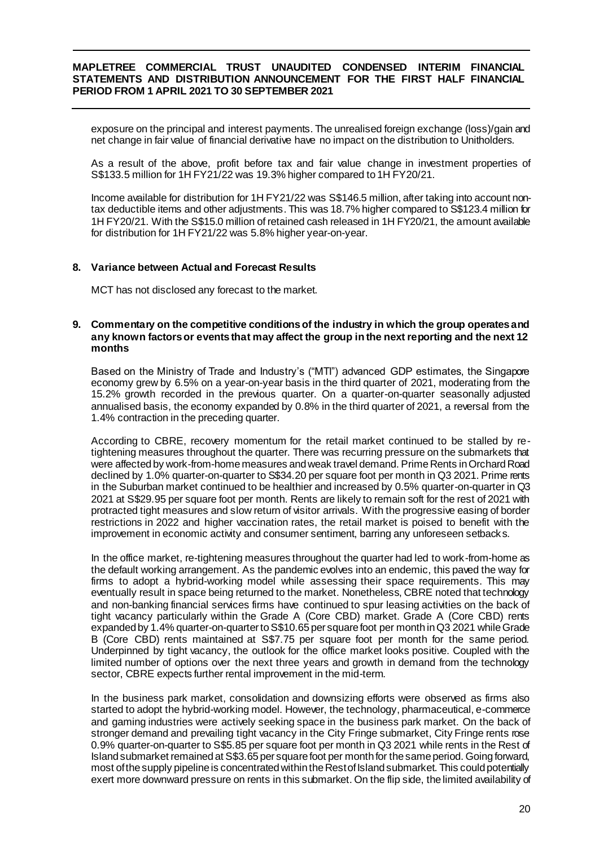exposure on the principal and interest payments. The unrealised foreign exchange (loss)/gain and net change in fair value of financial derivative have no impact on the distribution to Unitholders.

As a result of the above, profit before tax and fair value change in investment properties of S\$133.5 million for 1H FY21/22 was 19.3% higher compared to 1H FY20/21.

Income available for distribution for 1H FY21/22 was S\$146.5 million, after taking into account nontax deductible items and other adjustments. This was 18.7% higher compared to S\$123.4 million for 1H FY20/21. With the S\$15.0 million of retained cash released in 1H FY20/21, the amount available for distribution for 1H FY21/22 was 5.8% higher year-on-year.

#### **8. Variance between Actual and Forecast Results**

MCT has not disclosed any forecast to the market.

#### **9. Commentary on the competitive conditions of the industry in which the group operates and any known factors or events that may affect the group in the next reporting and the next 12 months**

Based on the Ministry of Trade and Industry's ("MTI") advanced GDP estimates, the Singapore economy grew by 6.5% on a year-on-year basis in the third quarter of 2021, moderating from the 15.2% growth recorded in the previous quarter. On a quarter-on-quarter seasonally adjusted annualised basis, the economy expanded by 0.8% in the third quarter of 2021, a reversal from the 1.4% contraction in the preceding quarter.

According to CBRE, recovery momentum for the retail market continued to be stalled by retightening measures throughout the quarter. There was recurring pressure on the submarkets that were affected by work-from-home measures and weak travel demand. Prime Rents in Orchard Road declined by 1.0% quarter-on-quarter to S\$34.20 per square foot per month in Q3 2021. Prime rents in the Suburban market continued to be healthier and increased by 0.5% quarter-on-quarter in Q3 2021 at S\$29.95 per square foot per month. Rents are likely to remain soft for the rest of 2021 with protracted tight measures and slow return of visitor arrivals. With the progressive easing of border restrictions in 2022 and higher vaccination rates, the retail market is poised to benefit with the improvement in economic activity and consumer sentiment, barring any unforeseen setbacks.

In the office market, re-tightening measures throughout the quarter had led to work-from-home as the default working arrangement. As the pandemic evolves into an endemic, this paved the way for firms to adopt a hybrid-working model while assessing their space requirements. This may eventually result in space being returned to the market. Nonetheless, CBRE noted that technology and non-banking financial services firms have continued to spur leasing activities on the back of tight vacancy particularly within the Grade A (Core CBD) market. Grade A (Core CBD) rents expanded by 1.4% quarter-on-quarter to S\$10.65 per square foot per month in Q3 2021 while Grade B (Core CBD) rents maintained at S\$7.75 per square foot per month for the same period. Underpinned by tight vacancy, the outlook for the office market looks positive. Coupled with the limited number of options over the next three years and growth in demand from the technology sector, CBRE expects further rental improvement in the mid-term.

In the business park market, consolidation and downsizing efforts were observed as firms also started to adopt the hybrid-working model. However, the technology, pharmaceutical, e-commerce and gaming industries were actively seeking space in the business park market. On the back of stronger demand and prevailing tight vacancy in the City Fringe submarket, City Fringe rents rose 0.9% quarter-on-quarter to S\$5.85 per square foot per month in Q3 2021 while rents in the Rest of Island submarket remained at S\$3.65 per square foot per month for the same period. Going forward, most of the supply pipeline is concentrated within the Rest of Island submarket. This could potentially exert more downward pressure on rents in this submarket. On the flip side, the limited availability of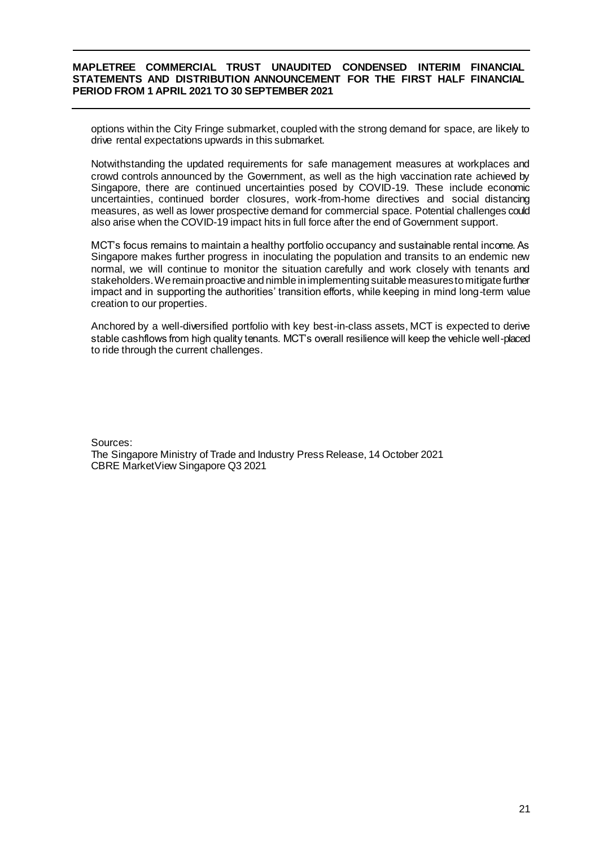options within the City Fringe submarket, coupled with the strong demand for space, are likely to drive rental expectations upwards in this submarket.

Notwithstanding the updated requirements for safe management measures at workplaces and crowd controls announced by the Government, as well as the high vaccination rate achieved by Singapore, there are continued uncertainties posed by COVID-19. These include economic uncertainties, continued border closures, work-from-home directives and social distancing measures, as well as lower prospective demand for commercial space. Potential challenges could also arise when the COVID-19 impact hits in full force after the end of Government support.

MCT's focus remains to maintain a healthy portfolio occupancy and sustainable rental income. As Singapore makes further progress in inoculating the population and transits to an endemic new normal, we will continue to monitor the situation carefully and work closely with tenants and stakeholders. We remain proactive and nimble in implementing suitable measures to mitigate further impact and in supporting the authorities' transition efforts, while keeping in mind long-term value creation to our properties.

Anchored by a well-diversified portfolio with key best-in-class assets, MCT is expected to derive stable cashflows from high quality tenants. MCT's overall resilience will keep the vehicle well-placed to ride through the current challenges.

Sources:

The Singapore Ministry of Trade and Industry Press Release, 14 October 2021 CBRE MarketView Singapore Q3 2021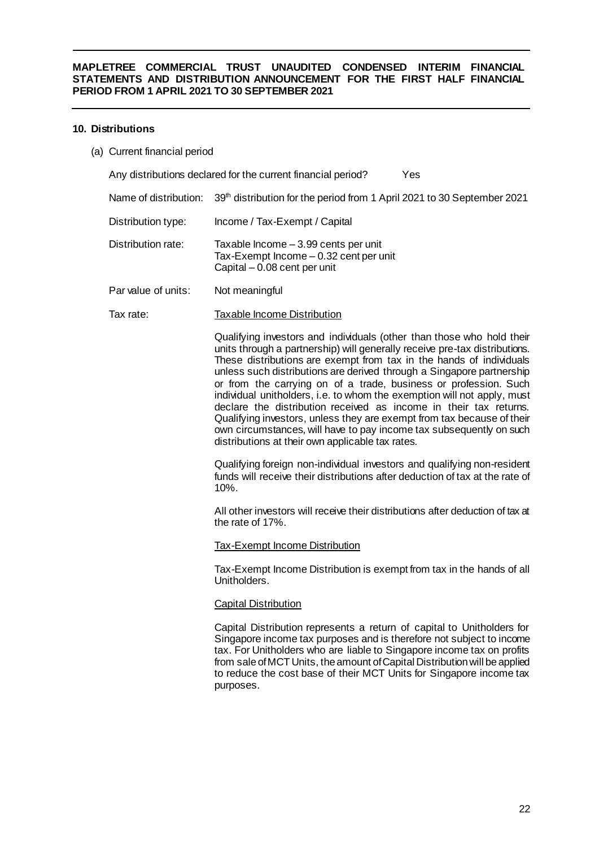## **10. Distributions**

(a) Current financial period

Any distributions declared for the current financial period? Yes

- Name of distribution: 39<sup>th</sup> distribution for the period from 1 April 2021 to 30 September 2021
- Distribution type: Income / Tax-Exempt / Capital
- Distribution rate: Taxable Income 3.99 cents per unit Tax-Exempt Income – 0.32 cent per unit Capital – 0.08 cent per unit
- Par value of units: Not meaningful

Tax rate: Taxable Income Distribution

Qualifying investors and individuals (other than those who hold their units through a partnership) will generally receive pre-tax distributions. These distributions are exempt from tax in the hands of individuals unless such distributions are derived through a Singapore partnership or from the carrying on of a trade, business or profession. Such individual unitholders, i.e. to whom the exemption will not apply, must declare the distribution received as income in their tax returns. Qualifying investors, unless they are exempt from tax because of their own circumstances, will have to pay income tax subsequently on such distributions at their own applicable tax rates.

Qualifying foreign non-individual investors and qualifying non-resident funds will receive their distributions after deduction of tax at the rate of 10%.

All other investors will receive their distributions after deduction of tax at the rate of 17%.

#### Tax-Exempt Income Distribution

Tax-Exempt Income Distribution is exempt from tax in the hands of all Unitholders.

# Capital Distribution

Capital Distribution represents a return of capital to Unitholders for Singapore income tax purposes and is therefore not subject to income tax. For Unitholders who are liable to Singapore income tax on profits from sale of MCT Units, the amount of Capital Distribution will be applied to reduce the cost base of their MCT Units for Singapore income tax purposes.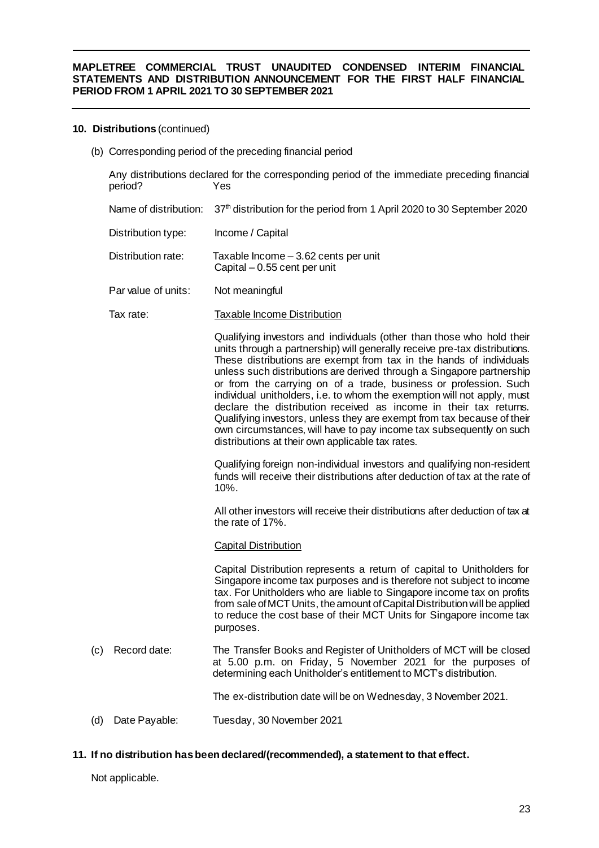## **10. Distributions** (continued)

(b) Corresponding period of the preceding financial period

Any distributions declared for the corresponding period of the immediate preceding financial period? Yes Name of distribution: 37<sup>th</sup> distribution for the period from 1 April 2020 to 30 September 2020 Distribution type: Income / Capital Distribution rate: Taxable Income – 3.62 cents per unit Capital – 0.55 cent per unit Par value of units: Not meaningful Tax rate: Taxable Income Distribution Qualifying investors and individuals (other than those who hold their units through a partnership) will generally receive pre-tax distributions. These distributions are exempt from tax in the hands of individuals unless such distributions are derived through a Singapore partnership or from the carrying on of a trade, business or profession. Such individual unitholders, i.e. to whom the exemption will not apply, must declare the distribution received as income in their tax returns. Qualifying investors, unless they are exempt from tax because of their own circumstances, will have to pay income tax subsequently on such distributions at their own applicable tax rates. Qualifying foreign non-individual investors and qualifying non-resident funds will receive their distributions after deduction of tax at the rate of 10%. All other investors will receive their distributions after deduction of tax at the rate of 17%. Capital Distribution Capital Distribution represents a return of capital to Unitholders for Singapore income tax purposes and is therefore not subject to income tax. For Unitholders who are liable to Singapore income tax on profits from sale of MCT Units, the amount of Capital Distribution will be applied to reduce the cost base of their MCT Units for Singapore income tax purposes. (c) Record date: The Transfer Books and Register of Unitholders of MCT will be closed at 5.00 p.m. on Friday, 5 November 2021 for the purposes of determining each Unitholder's entitlement to MCT's distribution. The ex-distribution date will be on Wednesday, 3 November 2021. (d) Date Payable: Tuesday, 30 November 2021

# **11. If no distribution has been declared/(recommended), a statement to that effect.**

Not applicable.